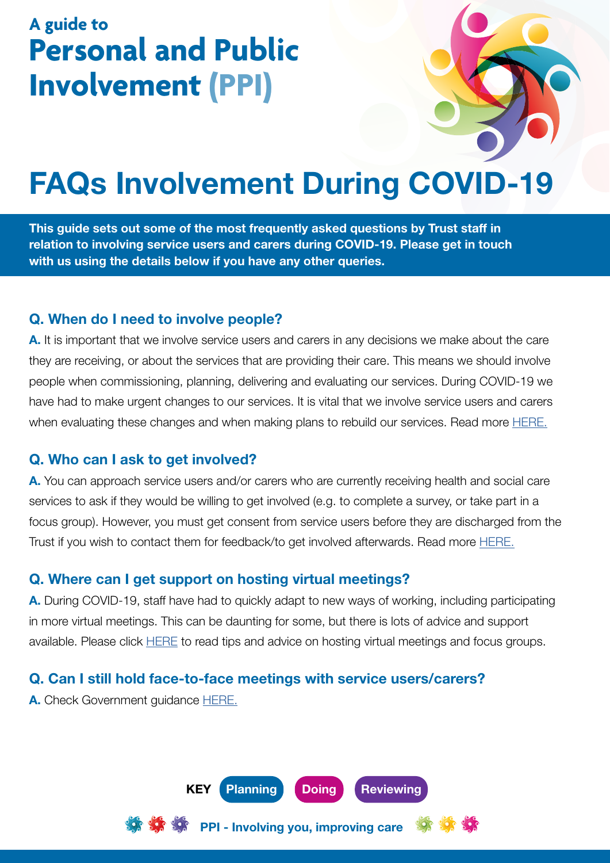## **A guide to Personal and Public Involvement (PPI)**

# FAQs Involvement During COVID-19

This guide sets out some of the most frequently asked questions by Trust staff in relation to involving service users and carers during COVID-19. Please get in touch with us using the details below if you have any other queries.

#### Q. When do I need to involve people?

A. It is important that we involve service users and carers in any decisions we make about the care they are receiving, or about the services that are providing their care. This means we should involve people when commissioning, planning, delivering and evaluating our services. During COVID-19 we have had to make urgent changes to our services. It is vital that we involve service users and carers when evaluating these changes and when making plans to rebuild our services. Read more [HERE.](http://engage.hscni.net/what-is-ppi/)

#### Q. Who can I ask to get involved?

A. You can approach service users and/or carers who are currently receiving health and social care services to ask if they would be willing to get involved (e.g. to complete a survey, or take part in a focus group). However, you must get consent from service users before they are discharged from the Trust if you wish to contact them for feedback/to get involved afterwards. Read more **HERE**.

#### Q. Where can I get support on hosting virtual meetings?

A. During COVID-19, staff have had to quickly adapt to new ways of working, including participating in more virtual meetings. This can be daunting for some, but there is lots of advice and support available. Please click **[HERE](http://intranet.belfasttrust.local/directorates/medical/publichealth/Documents%20%20Health%20Inequalities/Making%20Virtual%20Meetings%20Engaging%20final.pdf)** to read tips and advice on hosting virtual meetings and focus groups.

#### Q. Can I still hold face-to-face meetings with service users/carers?

A. Check Government guidance [HERE.](https://www.publichealth.hscni.net/covid-19-coronavirus)



PPI - Involving you, improving care